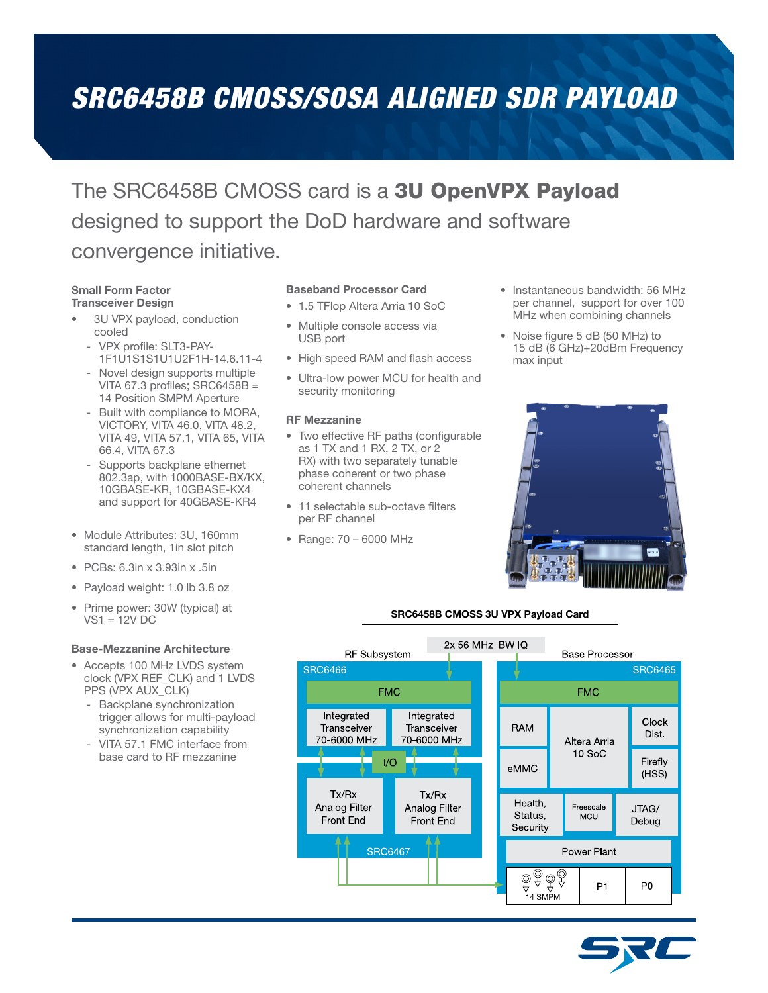# *SRC6458B CMOSS/SOSA ALIGNED SDR PAYLOAD*

## The SRC6458B CMOSS card is a 3U OpenVPX Payload designed to support the DoD hardware and software convergence initiative.

#### Small Form Factor Transceiver Design

- 3U VPX payload, conduction cooled
	- VPX profile: SLT3-PAY-1F1U1S1S1U1U2F1H-14.6.11-4
	- Novel design supports multiple VITA 67.3 profiles; SRC6458B = 14 Position SMPM Aperture
	- Built with compliance to MORA, VICTORY, VITA 46.0, VITA 48.2, VITA 49, VITA 57.1, VITA 65, VITA 66.4, VITA 67.3
	- Supports backplane ethernet 802.3ap, with 1000BASE-BX/KX, 10GBASE-KR, 10GBASE-KX4 and support for 40GBASE-KR4
- Module Attributes: 3U, 160mm standard length, 1in slot pitch
- PCBs: 6.3in x 3.93in x .5in
- Payload weight: 1.0 lb 3.8 oz
- Prime power: 30W (typical) at  $VS1 = 12V$  DC

#### Base-Mezzanine Architecture

- Accepts 100 MHz LVDS system clock (VPX REF\_CLK) and 1 LVDS PPS (VPX AUX\_CLK)
	- Backplane synchronization trigger allows for multi-payload synchronization capability
	- VITA 57.1 FMC interface from base card to RF mezzanine

#### Baseband Processor Card

- 1.5 TFlop Altera Arria 10 SoC
- Multiple console access via USB port
- High speed RAM and flash access
- Ultra-low power MCU for health and security monitoring

#### RF Mezzanine

- Two effective RF paths (configurable as 1 TX and 1 RX, 2 TX, or 2 RX) with two separately tunable phase coherent or two phase coherent channels
- 11 selectable sub-octave filters per RF channel
- Range: 70 6000 MHz
- Instantaneous bandwidth: 56 MHz per channel, support for over 100 MHz when combining channels
- Noise figure 5 dB (50 MHz) to 15 dB (6 GHz)+20dBm Frequency max input